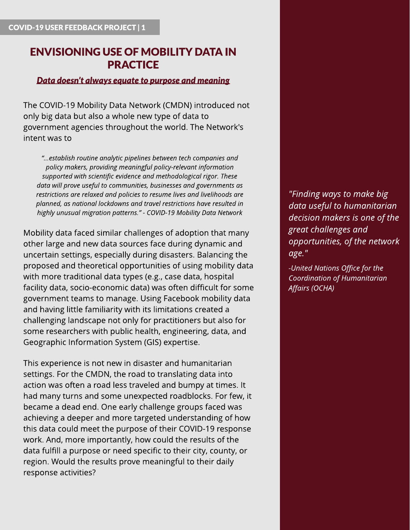# **ENVISIONING USE OF MOBILITY DATA IN PRACTICE**

#### **Data** doesn't always equate to purpose and meaning

The COVID-19 Mobility Data Network (CMDN) introduced not only big data but also a whole new type of data to government agencies throughout the world. The Network's intent was to

**?...establish routineanalytic pipelinesbetween tech companiesand policy makers, providing meaningful policy-relevant information supported with scientificevidenceand methodological rigor. These data will prove useful to communities, businessesand governmentsas restrictions are relaxed and policies to resume lives and livelihoods are planned, asnational lockdownsand travel restrictionshaveresulted in highly unusual migration patterns.?- [COVID-19](http:// COVID-19 Mobility Data Network | CrisisReadycrisisready.io › project › cmdn) [Mobility](http:// COVID-19 Mobility Data Network | CrisisReadycrisisready.io › project › cmdn) [Data](http:// COVID-19 Mobility Data Network | CrisisReadycrisisready.io › project › cmdn) [Network](http:// COVID-19 Mobility Data Network | CrisisReadycrisisready.io › project › cmdn)**

Mobility data faced similar challenges of adoption that many other large and new data sources face during dynamic and uncertain settings, especially during disasters. Balancing the proposed and theoretical opportunities of using mobility data with more traditional data types (e.g., case data, hospital facility data, socio-economic data) was often difficult for some government teams to manage. Using Facebook mobility data and having little familiarity with its limitations created a challenging landscape not only for practitioners but also for some researchers with public health, engineering, data, and Geographic Information System (GIS) expertise.

This experience is not new in disaster and humanitarian settings. For the CMDN, the road to translating data into action was often a road less traveled and bumpy at times. It had many turns and some unexpected roadblocks. For few, it became a dead end. One early challenge groups faced was achieving a deeper and more targeted understanding of how this data could meet the purpose of their COVID-19 response work. And, more importantly, how could the results of the data fulfill a purpose or need specific to their city, county, or region. Would the results prove meaningful to their daily response activities?

**"Findingwaysto make big data useful to humanitarian decision makersisone of the great challengesand opportunities, of the network age."**

**-United NationsOffice for the Coordination of Humanitarian Affairs(OCHA)**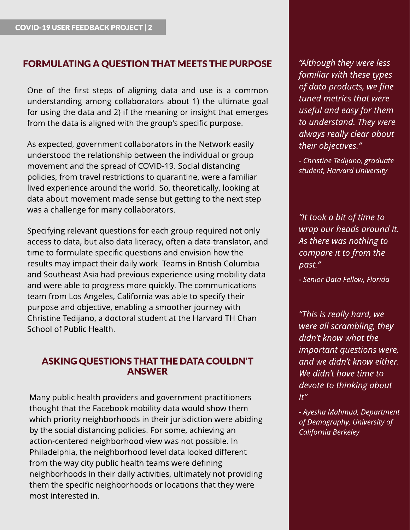## FORMULATING A QUESTION THAT MEETS THE PURPOSE

One of the first steps of aligning data and use is a common understanding among collaborators about 1) the ultimate goal for using the data and 2) if the meaning or insight that emerges from the data is aligned with the group's specific purpose.

As expected, government collaborators in the Network easily understood the relationship between the individual or group movement and the spread of COVID-19. Social distancing policies, from travel restrictions to quarantine, were a familiar lived experience around the world. So, theoretically, looking at data about movement made sense but getting to the next step was a challenge for many collaborators.

Specifying relevant questions for each group required not only access to [data](https://pub.lucidpress.com/CMDN_UserFdbck_Brief4/), but also data literacy, often a data [translator,](https://pub.lucidpress.com/CMDN_UserFdbck_Brief4/) and time to formulate specific questions and envision how the results may impact their daily work. Teams in British Columbia and Southeast Asia had previous experience using mobility data and were able to progress more quickly. The communications team from Los Angeles, California was able to specify their purpose and objective, enabling a smoother journey with Christine Tedijano, a doctoral student at the Harvard TH Chan School of Public Health.

#### ASKINGQUESTIONSTHAT THEDATA COULDN'T ANSWER

Many public health providers and government practitioners thought that the Facebook mobility data would show them which priority neighborhoods in their jurisdiction were abiding by the social distancing policies. For some, achieving an action-centered neighborhood view was not possible. In Philadelphia, the neighborhood level data looked different from the way city public health teams were defining neighborhoods in their daily activities, ultimately not providing them the specific neighborhoods or locations that they were most interested in.

**?Although they were less familiar with these types of data products, we fine tuned metricsthat were useful and easy for them to understand. They were always** really clear about **their objectives.?**

**- Christine Tedijano, graduate student, Harvard University**

**?It took a bit of time to wrap our headsaround it.** As there was nothing to **compare it to from the past.?**

**- Senior Data Fellow, Florida**

**?Thisisreally hard, we were all scrambling, they didn?t know what the important** questions were, **and we didn?t know either. We didn?t have time to devote to thinking about it?**

**- Ayesha Mahmud, Department of Demography, University of California Berkeley**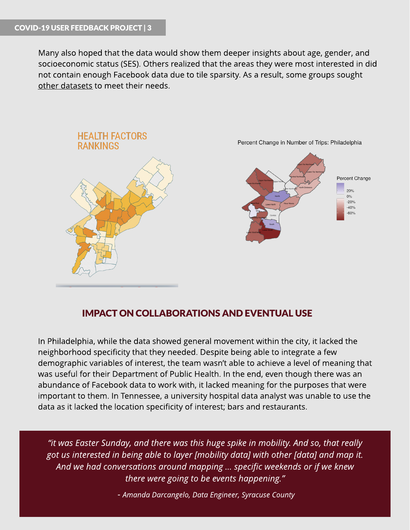Many also hoped that the data would show them deeper insights about age, gender, and socioeconomic status (SES). Others realized that the areas they were most interested in did not contain enough Facebook data due to tile sparsity. As a result, some groups sought [other](https://pub.lucidpress.com/CMDN_UserFdbck_Brief5/) [datasets](https://pub.lucidpress.com/CMDN_UserFdbck_Brief5/) to meet their needs.



### IMPACT ON COLLABORATIONSAND EVENTUAL USE

In Philadelphia, while the data showed general movement within the city, it lacked the neighborhood specificity that they needed. Despite being able to integrate a few demographic variables of interest, the team wasn't able to achieve a level of meaning that was useful for their Department of Public Health. In the end, even though there was an abundance of Facebook data to work with, it lacked meaning for the purposes that were important to them. In Tennessee, a university hospital data analyst was unable to use the data as it lacked the location specificity of interest; bars and restaurants.

**?it wasEaster Sunday, and there wasthishuge spike in mobility. And so, that really got usinterested in beingable to layer [mobility data] with other [data] and map it. And we had conversationsaround mapping? specificweekendsor if we knew there** were going to be events happening."

**- Amanda Darcangelo, Data Engineer, Syracuse County**